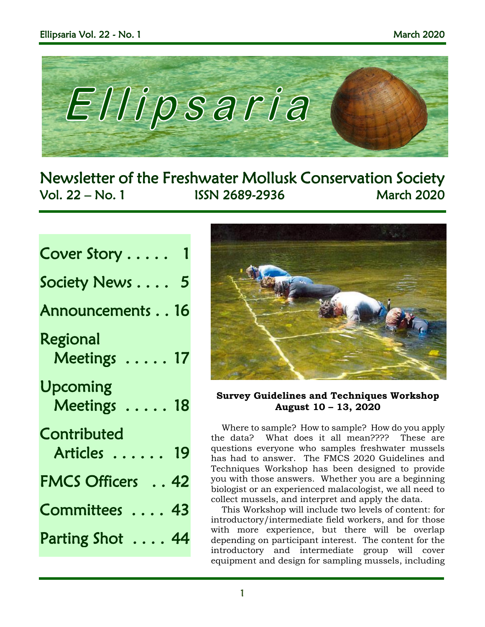

Newsletter of the Freshwater Mollusk Conservation Society Vol. 22 – No. 1 ISSN 2689-2936 March 2020

## Cover Story . . . . . 1 Society News . . . . 5

Announcements . . 16

Regional Meetings ..... 17

- Upcoming Meetings . . . . . 18
- **Contributed** 
	- Articles . . . . . . 19
- FMCS Officers . . 42
- Committees . . . . 43
- Parting Shot . . . . 44



## **Survey Guidelines and Techniques Workshop August 10 – 13, 2020**

Where to sample? How to sample? How do you apply the data? What does it all mean???? These are questions everyone who samples freshwater mussels has had to answer. The FMCS 2020 Guidelines and Techniques Workshop has been designed to provide you with those answers. Whether you are a beginning biologist or an experienced malacologist, we all need to collect mussels, and interpret and apply the data.

This Workshop will include two levels of content: for introductory/intermediate field workers, and for those with more experience, but there will be overlap depending on participant interest. The content for the introductory and intermediate group will cover equipment and design for sampling mussels, including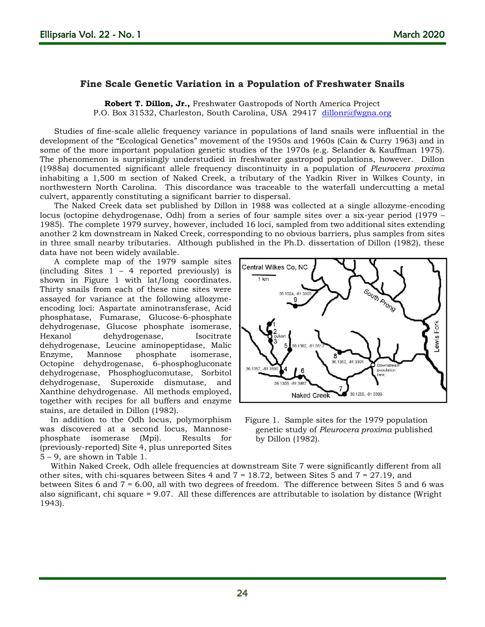## **Fine Scale Genetic Variation in a Population of Freshwater Snails**

**Robert T. Dillon, Jr.,** Freshwater Gastropods of North America Project P.O. Box 31532, Charleston, South Carolina, USA 29417 [dillonr@fwgna.org](mailto:dillonr@fwgna.org)

Studies of fine-scale allelic frequency variance in populations of land snails were influential in the development of the "Ecological Genetics" movement of the 1950s and 1960s (Cain & Curry 1963) and in some of the more important population genetic studies of the 1970s (e.g. Selander & Kauffman 1975). The phenomenon is surprisingly understudied in freshwater gastropod populations, however. Dillon (1988a) documented significant allele frequency discontinuity in a population of *Pleurocera proxima* inhabiting a 1,500 m section of Naked Creek, a tributary of the Yadkin River in Wilkes County, in northwestern North Carolina. This discordance was traceable to the waterfall undercutting a metal culvert, apparently constituting a significant barrier to dispersal.

The Naked Creek data set published by Dillon in 1988 was collected at a single allozyme-encoding locus (octopine dehydrogenase, Odh) from a series of four sample sites over a six-year period (1979 – 1985). The complete 1979 survey, however, included 16 loci, sampled from two additional sites extending another 2 km downstream in Naked Creek, corresponding to no obvious barriers, plus samples from sites in three small nearby tributaries. Although published in the Ph.D. dissertation of Dillon (1982), these data have not been widely available.

A complete map of the 1979 sample sites (including Sites 1 – 4 reported previously) is shown in Figure 1 with lat/long coordinates. Thirty snails from each of these nine sites were assayed for variance at the following allozymeencoding loci: Aspartate aminotransferase, Acid phosphatase, Fumarase, Glucose-6-phosphate dehydrogenase, Glucose phosphate isomerase, Hexanol dehydrogenase, Isocitrate dehydrogenase, Leucine aminopeptidase, Malic Enzyme, Mannose phosphate isomerase, Octopine dehydrogenase, 6-phosphogluconate dehydrogenase, Phosphoglucomutase, Sorbitol dehydrogenase, Superoxide dismutase, and Xanthine dehydrogenase. All methods employed, together with recipes for all buffers and enzyme stains, are detailed in Dillon (1982).

In addition to the Odh locus, polymorphism was discovered at a second locus, Mannosephosphate isomerase (Mpi). Results for (previously-reported) Site 4, plus unreported Sites 5 – 9, are shown in Table 1.



Figure 1. Sample sites for the 1979 population genetic study of *Pleurocera proxima* published by Dillon (1982).

Within Naked Creek, Odh allele frequencies at downstream Site 7 were significantly different from all other sites, with chi-squares between Sites 4 and  $7 = 18.72$ , between Sites 5 and  $7 = 27.19$ , and between Sites 6 and 7 = 6.00, all with two degrees of freedom. The difference between Sites 5 and 6 was also significant, chi square = 9.07. All these differences are attributable to isolation by distance (Wright 1943).